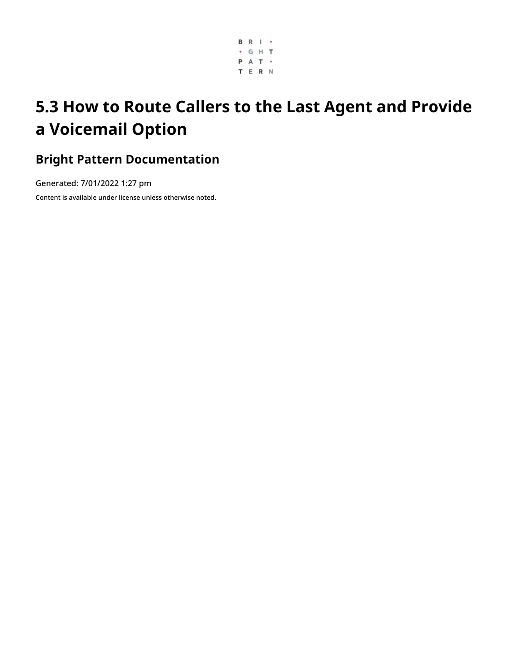

# **5.3 How to Route Callers to the Last Agent and Provide a Voicemail Option**

### **Bright Pattern Documentation**

Generated: 7/01/2022 1:27 pm

Content is available under license unless otherwise noted.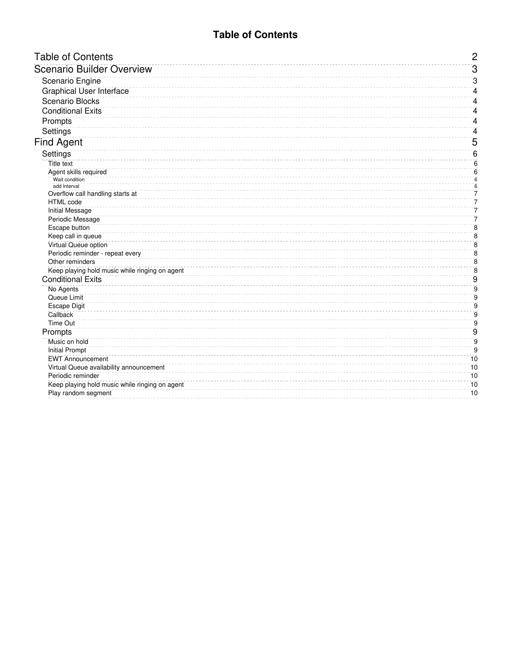### **Table of Contents**

<span id="page-1-0"></span>

| <b>Table of Contents</b>                       | $\overline{c}$           |
|------------------------------------------------|--------------------------|
| <b>Scenario Builder Overview</b>               | $\overline{3}$           |
| Scenario Engine                                | 3                        |
| <b>Graphical User Interface</b>                | 4                        |
| <b>Scenario Blocks</b>                         | 4                        |
| <b>Conditional Exits</b>                       | 4                        |
| Prompts                                        | 4                        |
|                                                |                          |
| Settings                                       | 4                        |
| <b>Find Agent</b>                              | 5                        |
| Settings                                       | 6                        |
| <b>Title text</b>                              | 6                        |
| Agent skills required                          | 6                        |
| Wait condition<br>add Interval                 | $6\overline{6}$<br>$6\,$ |
| Overflow call handling starts at               | 7                        |
| <b>HTML</b> code                               | 7                        |
| <b>Initial Message</b>                         | 7                        |
| Periodic Message                               | 7                        |
| <b>Escape button</b>                           | 8                        |
| Keep call in queue                             | $\overline{8}$           |
| Virtual Queue option                           | 8                        |
| Periodic reminder - repeat every               | 8                        |
| Other reminders                                | $\bf 8$                  |
| Keep playing hold music while ringing on agent | $\bf 8$                  |
| <b>Conditional Exits</b>                       | 9                        |
| No Agents                                      | $\overline{9}$           |
| Queue Limit                                    | 9                        |
| <b>Escape Digit</b>                            | $\mathsf g$              |
| Callback                                       | 9                        |
| <b>Time Out</b>                                | 9                        |
| Prompts                                        | 9                        |
| Music on hold                                  | $\overline{9}$           |
| <b>Initial Prompt</b>                          | $\overline{9}$           |
| <b>EWT Announcement</b>                        | 10                       |
| Virtual Queue availability announcement        | 10                       |
| Periodic reminder                              | 10                       |
| Keep playing hold music while ringing on agent | 10                       |
| Play random segment                            | 10                       |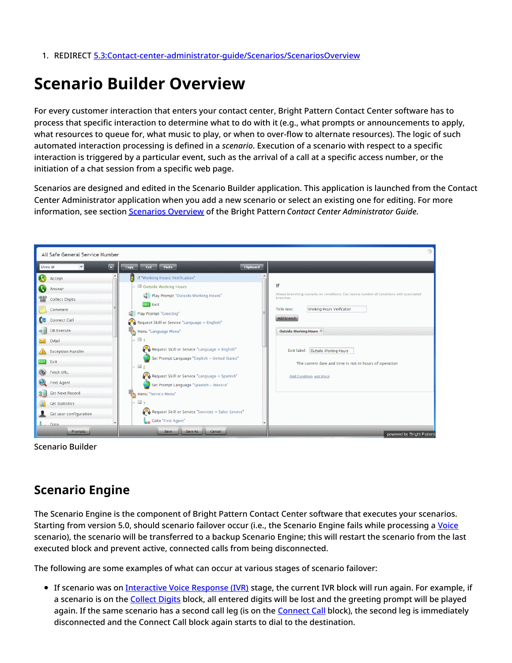1. REDIRECT [5.3:Contact-center-administrator-guide/Scenarios/ScenariosOverview](https://help.brightpattern.com/5.3:Contact-center-administrator-guide/Scenarios/ScenariosOverview)

# <span id="page-2-0"></span>**Scenario Builder Overview**

For every customer interaction that enters your contact center, Bright Pattern Contact Center software has to process that specific interaction to determine what to do with it (e.g., what prompts or announcements to apply, what resources to queue for, what music to play, or when to over-flow to alternate resources). The logic of such automated interaction processing is defined in a *scenario*. Execution of a scenario with respect to a specific interaction is triggered by a particular event, such as the arrival of a call at a specific access number, or the initiation of a chat session from a specific web page.

Scenarios are designed and edited in the Scenario Builder application. This application is launched from the Contact Center Administrator application when you add a new scenario or select an existing one for editing. For more information, see section [Scenarios](https://help.brightpattern.com/5.3:Scenario-builder-reference-guide/Exercises/HowtoCreateaVoiceScenarioThatRoutesCallerstoLastAgentwithVoicemail/?action=html-localimages-export#topic_contact-center-administrator-guide.2Fscenariosoverview) Overview of the Bright Pattern *Contact Center Administrator Guide*.



Scenario Builder

### <span id="page-2-1"></span>**Scenario Engine**

The Scenario Engine is the component of Bright Pattern Contact Center software that executes your scenarios. Starting from version 5.0, should scenario failover occur (i.e., the Scenario Engine fails while processing a [Voice](https://help.brightpattern.com/5.3:Scenario-builder-reference-guide/Exercises/HowtoCreateaVoiceScenarioThatRoutesCallerstoLastAgentwithVoicemail/?action=html-localimages-export#topic_contact-center-administrator-guide.2Fvoice) scenario), the scenario will be transferred to a backup Scenario Engine; this will restart the scenario from the last executed block and prevent active, connected calls from being disconnected.

The following are some examples of what can occur at various stages of scenario failover:

• If scenario was on [Interactive](https://help.brightpattern.com/5.3:Contact-center-administrator-guide/Glossary#Interactive_Voice_Response) Voice Response (IVR) stage, the current IVR block will run again. For example, if a scenario is on the [Collect](https://help.brightpattern.com/5.3:Scenario-builder-reference-guide/Exercises/HowtoCreateaVoiceScenarioThatRoutesCallerstoLastAgentwithVoicemail/?action=html-localimages-export#topic_scenario-builder-reference-guide.2Fcollectdigits) Digits block, all entered digits will be lost and the greeting prompt will be played again. If the same scenario has a second call leg (is on the **[Connect](https://help.brightpattern.com/5.3:Scenario-builder-reference-guide/Exercises/HowtoCreateaVoiceScenarioThatRoutesCallerstoLastAgentwithVoicemail/?action=html-localimages-export#topic_scenario-builder-reference-guide.2Fconnectcall) Call block)**, the second leg is immediately disconnected and the Connect Call block again starts to dial to the destination.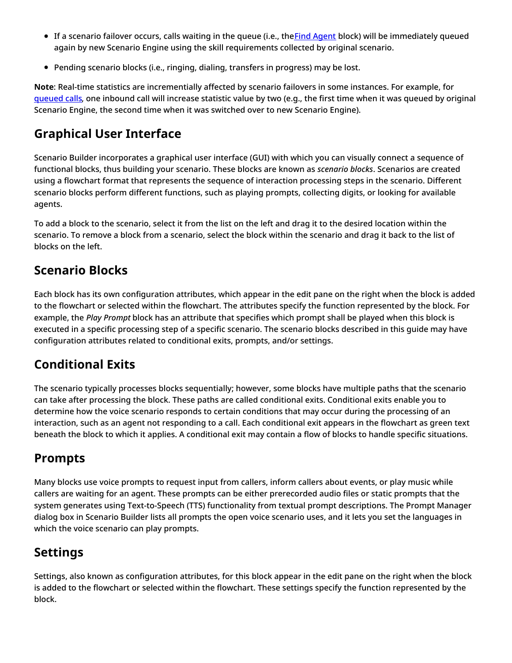- If a scenario failover occurs, calls waiting in the queue (i.e., theFind [Agent](https://help.brightpattern.com/5.3:Scenario-builder-reference-guide/Exercises/HowtoCreateaVoiceScenarioThatRoutesCallerstoLastAgentwithVoicemail/?action=html-localimages-export#topic_scenario-builder-reference-guide.2Ffindagent) block) will be immediately queued again by new Scenario Engine using the skill requirements collected by original scenario.
- Pending scenario blocks (i.e., ringing, dialing, transfers in progress) may be lost.

**Note**: Real-time statistics are incrementially affected by scenario failovers in some instances. For example, for gueued calls, one inbound call will increase statistic value by two (e.g., the first time when it was [queued](https://help.brightpattern.com/5.3:Reporting-reference-guide/AllMetrics#Inbound_Calls_Queued_for_the_Day_.28IN_Queued.29) by original Scenario Engine, the second time when it was switched over to new Scenario Engine).

## <span id="page-3-0"></span>**Graphical User Interface**

Scenario Builder incorporates a graphical user interface (GUI) with which you can visually connect a sequence of functional blocks, thus building your scenario. These blocks are known as *scenario blocks*. Scenarios are created using a flowchart format that represents the sequence of interaction processing steps in the scenario. Different scenario blocks perform different functions, such as playing prompts, collecting digits, or looking for available agents.

To add a block to the scenario, select it from the list on the left and drag it to the desired location within the scenario. To remove a block from a scenario, select the block within the scenario and drag it back to the list of blocks on the left.

## <span id="page-3-1"></span>**Scenario Blocks**

Each block has its own configuration attributes, which appear in the edit pane on the right when the block is added to the flowchart or selected within the flowchart. The attributes specify the function represented by the block. For example, the *Play Prompt* block has an attribute that specifies which prompt shall be played when this block is executed in a specific processing step of a specific scenario. The scenario blocks described in this guide may have configuration attributes related to conditional exits, prompts, and/or settings.

### <span id="page-3-2"></span>**Conditional Exits**

The scenario typically processes blocks sequentially; however, some blocks have multiple paths that the scenario can take after processing the block. These paths are called conditional exits. Conditional exits enable you to determine how the voice scenario responds to certain conditions that may occur during the processing of an interaction, such as an agent not responding to a call. Each conditional exit appears in the flowchart as green text beneath the block to which it applies. A conditional exit may contain a flow of blocks to handle specific situations.

### <span id="page-3-3"></span>**Prompts**

Many blocks use voice prompts to request input from callers, inform callers about events, or play music while callers are waiting for an agent. These prompts can be either prerecorded audio files or static prompts that the system generates using Text-to-Speech (TTS) functionality from textual prompt descriptions. The Prompt Manager dialog box in Scenario Builder lists all prompts the open voice scenario uses, and it lets you set the languages in which the voice scenario can play prompts.

## <span id="page-3-4"></span>**Settings**

Settings, also known as configuration attributes, for this block appear in the edit pane on the right when the block is added to the flowchart or selected within the flowchart. These settings specify the function represented by the block.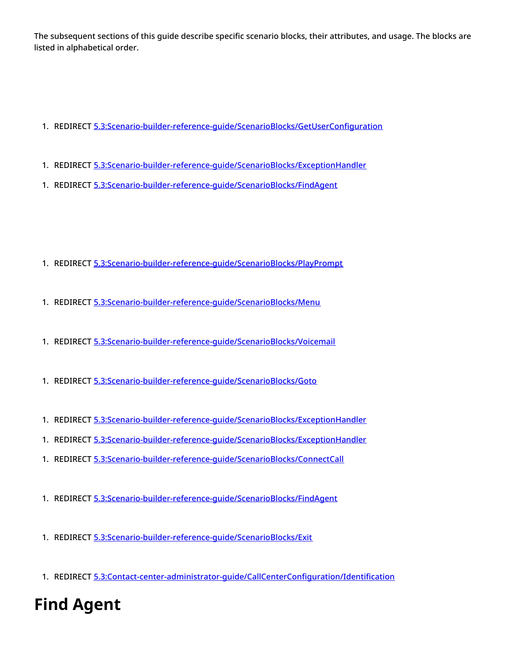The subsequent sections of this guide describe specific scenario blocks, their attributes, and usage. The blocks are listed in alphabetical order.

- 1. REDIRECT [5.3:Scenario-builder-reference-guide/ScenarioBlocks/GetUserConfiguration](https://help.brightpattern.com/5.3:Scenario-builder-reference-guide/ScenarioBlocks/GetUserConfiguration)
- 1. REDIRECT [5.3:Scenario-builder-reference-guide/ScenarioBlocks/ExceptionHandler](https://help.brightpattern.com/5.3:Scenario-builder-reference-guide/ScenarioBlocks/ExceptionHandler)
- 1. REDIRECT [5.3:Scenario-builder-reference-guide/ScenarioBlocks/FindAgent](https://help.brightpattern.com/5.3:Scenario-builder-reference-guide/ScenarioBlocks/FindAgent)

- 1. REDIRECT [5.3:Scenario-builder-reference-guide/ScenarioBlocks/PlayPrompt](https://help.brightpattern.com/5.3:Scenario-builder-reference-guide/ScenarioBlocks/PlayPrompt)
- 1. REDIRECT [5.3:Scenario-builder-reference-guide/ScenarioBlocks/Menu](https://help.brightpattern.com/5.3:Scenario-builder-reference-guide/ScenarioBlocks/Menu)
- 1. REDIRECT [5.3:Scenario-builder-reference-guide/ScenarioBlocks/Voicemail](https://help.brightpattern.com/5.3:Scenario-builder-reference-guide/ScenarioBlocks/Voicemail)
- 1. REDIRECT [5.3:Scenario-builder-reference-guide/ScenarioBlocks/Goto](https://help.brightpattern.com/5.3:Scenario-builder-reference-guide/ScenarioBlocks/Goto)
- 1. REDIRECT [5.3:Scenario-builder-reference-guide/ScenarioBlocks/ExceptionHandler](https://help.brightpattern.com/5.3:Scenario-builder-reference-guide/ScenarioBlocks/ExceptionHandler)
- 1. REDIRECT [5.3:Scenario-builder-reference-guide/ScenarioBlocks/ExceptionHandler](https://help.brightpattern.com/5.3:Scenario-builder-reference-guide/ScenarioBlocks/ExceptionHandler)
- 1. REDIRECT [5.3:Scenario-builder-reference-guide/ScenarioBlocks/ConnectCall](https://help.brightpattern.com/5.3:Scenario-builder-reference-guide/ScenarioBlocks/ConnectCall)
- 1. REDIRECT [5.3:Scenario-builder-reference-guide/ScenarioBlocks/FindAgent](https://help.brightpattern.com/5.3:Scenario-builder-reference-guide/ScenarioBlocks/FindAgent)
- 1. REDIRECT [5.3:Scenario-builder-reference-guide/ScenarioBlocks/Exit](https://help.brightpattern.com/5.3:Scenario-builder-reference-guide/ScenarioBlocks/Exit)
- 1. REDIRECT [5.3:Contact-center-administrator-guide/CallCenterConfiguration/Identification](https://help.brightpattern.com/5.3:Contact-center-administrator-guide/CallCenterConfiguration/Identification)

# <span id="page-4-0"></span>**Find Agent**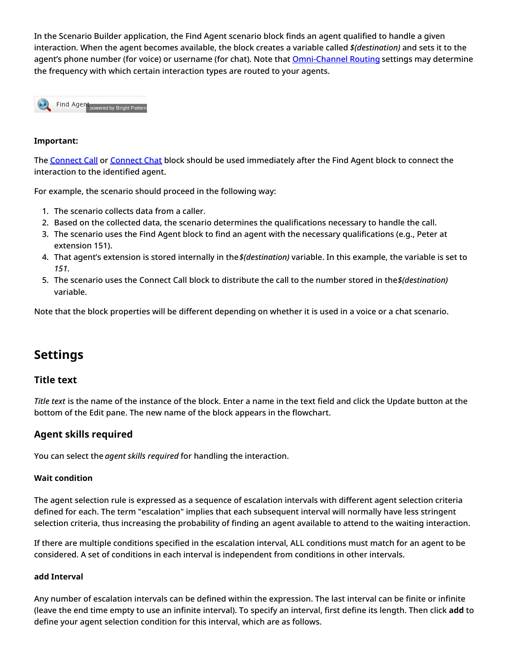In the Scenario Builder application, the Find Agent scenario block finds an agent qualified to handle a given interaction. When the agent becomes available, the block creates a variable called *\$(destination)* and sets it to the agent's phone number (for voice) or username (for chat). Note that **[Omni-Channel](https://help.brightpattern.com/5.3:Scenario-builder-reference-guide/Exercises/HowtoCreateaVoiceScenarioThatRoutesCallerstoLastAgentwithVoicemail/?action=html-localimages-export#topic_contact-center-administrator-guide.2Fomni-channelrouting) Routing settings may determine** the frequency with which certain interaction types are routed to your agents.

Find Agent powered by Bright Pattern

#### **Important:**

The [Connect](https://help.brightpattern.com/5.3:Scenario-builder-reference-guide/Exercises/HowtoCreateaVoiceScenarioThatRoutesCallerstoLastAgentwithVoicemail/?action=html-localimages-export#topic_scenario-builder-reference-guide.2Fconnectchat) Call or Connect Chat block should be used immediately after the Find Agent block to connect the interaction to the identified agent.

For example, the scenario should proceed in the following way:

- 1. The scenario collects data from a caller.
- 2. Based on the collected data, the scenario determines the qualifications necessary to handle the call.
- 3. The scenario uses the Find Agent block to find an agent with the necessary qualifications (e.g., Peter at extension 151).
- 4. That agent's extension is stored internally in the*\$(destination)* variable. In this example, the variable is set to *151*.
- 5. The scenario uses the Connect Call block to distribute the call to the number stored in the*\$(destination)* variable.

Note that the block properties will be different depending on whether it is used in a voice or a chat scenario.

### <span id="page-5-0"></span>**Settings**

#### <span id="page-5-1"></span>**Title text**

*Title text* is the name of the instance of the block. Enter a name in the text field and click the Update button at the bottom of the Edit pane. The new name of the block appears in the flowchart.

#### <span id="page-5-2"></span>**Agent skills required**

You can select the *agent skills required* for handling the interaction.

#### <span id="page-5-3"></span>**Wait condition**

The agent selection rule is expressed as a sequence of escalation intervals with different agent selection criteria defined for each. The term "escalation" implies that each subsequent interval will normally have less stringent selection criteria, thus increasing the probability of finding an agent available to attend to the waiting interaction.

If there are multiple conditions specified in the escalation interval, ALL conditions must match for an agent to be considered. A set of conditions in each interval is independent from conditions in other intervals.

#### <span id="page-5-4"></span>**add Interval**

Any number of escalation intervals can be defined within the expression. The last interval can be finite or infinite (leave the end time empty to use an infinite interval). To specify an interval, first define its length. Then click **add** to define your agent selection condition for this interval, which are as follows.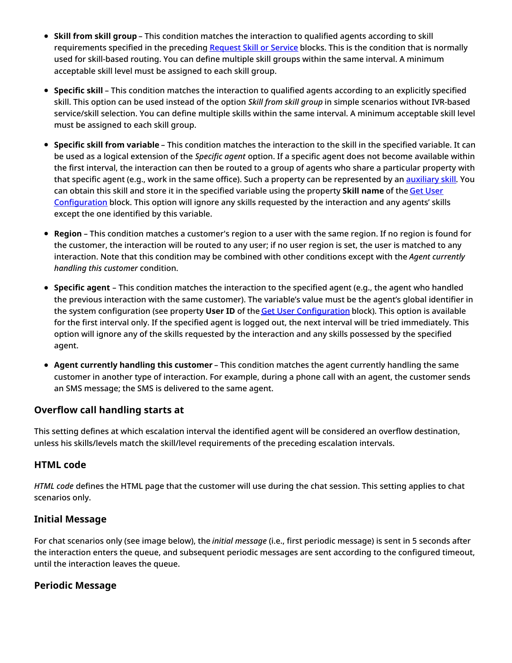- **Skill from skill group** This condition matches the interaction to qualified agents according to skill requirements specified in the preceding [Request](https://help.brightpattern.com/5.3:Scenario-builder-reference-guide/Exercises/HowtoCreateaVoiceScenarioThatRoutesCallerstoLastAgentwithVoicemail/?action=html-localimages-export#topic_scenario-builder-reference-guide.2Frequestskillorservice) Skill or Service blocks. This is the condition that is normally used for skill-based routing. You can define multiple skill groups within the same interval. A minimum acceptable skill level must be assigned to each skill group.
- **Specific skill** This condition matches the interaction to qualified agents according to an explicitly specified skill. This option can be used instead of the option *Skill from skill group* in simple scenarios without IVR-based service/skill selection. You can define multiple skills within the same interval. A minimum acceptable skill level must be assigned to each skill group.
- **Specific skill from variable** This condition matches the interaction to the skill in the specified variable. It can be used as a logical extension of the *Specific agent* option. If a specific agent does not become available within the first interval, the interaction can then be routed to a group of agents who share a particular property with that specific agent (e.g., work in the same office). Such a property can be represented by an **[auxiliary](https://help.brightpattern.com/5.3:Scenario-builder-reference-guide/Exercises/HowtoCreateaVoiceScenarioThatRoutesCallerstoLastAgentwithVoicemail/?action=html-localimages-export#topic_contact-center-administrator-guide.2Fauxiliaryskills) skill**. You can obtain this skill and store it in the specified variable using the property **Skill name** of the Get User [Configuration](https://help.brightpattern.com/5.3:Scenario-builder-reference-guide/Exercises/HowtoCreateaVoiceScenarioThatRoutesCallerstoLastAgentwithVoicemail/?action=html-localimages-export#topic_scenario-builder-reference-guide.2Fgetuserconfiguration) block. This option will ignore any skills requested by the interaction and any agents' skills except the one identified by this variable.
- **Region** This condition matches a customer's region to a user with the same region. If no region is found for the customer, the interaction will be routed to any user; if no user region is set, the user is matched to any interaction. Note that this condition may be combined with other conditions except with the *Agent currently handling this customer* condition.
- **Specific agent** This condition matches the interaction to the specified agent (e.g., the agent who handled the previous interaction with the same customer). The variable's value must be the agent's global identifier in the system configuration (see property **User ID** of the Get User [Configuration](https://help.brightpattern.com/5.3:Scenario-builder-reference-guide/Exercises/HowtoCreateaVoiceScenarioThatRoutesCallerstoLastAgentwithVoicemail/?action=html-localimages-export#topic_scenario-builder-reference-guide.2Fgetuserconfiguration) block). This option is available for the first interval only. If the specified agent is logged out, the next interval will be tried immediately. This option will ignore any of the skills requested by the interaction and any skills possessed by the specified agent.
- **Agent currently handling this customer** This condition matches the agent currently handling the same customer in another type of interaction. For example, during a phone call with an agent, the customer sends an SMS message; the SMS is delivered to the same agent.

#### <span id="page-6-0"></span>**Overflow call handling starts at**

This setting defines at which escalation interval the identified agent will be considered an overflow destination, unless his skills/levels match the skill/level requirements of the preceding escalation intervals.

#### <span id="page-6-1"></span>**HTML code**

*HTML code* defines the HTML page that the customer will use during the chat session. This setting applies to chat scenarios only.

#### <span id="page-6-2"></span>**Initial Message**

For chat scenarios only (see image below), the *initial message* (i.e., first periodic message) is sent in 5 seconds after the interaction enters the queue, and subsequent periodic messages are sent according to the configured timeout, until the interaction leaves the queue.

#### <span id="page-6-3"></span>**Periodic Message**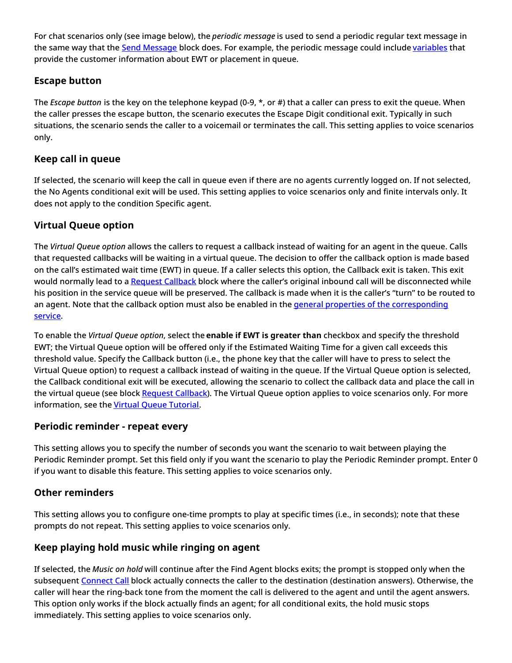For chat scenarios only (see image below), the *periodic message* is used to send a periodic regular text message in the same way that the Send [Message](https://help.brightpattern.com/5.3:Scenario-builder-reference-guide/Exercises/HowtoCreateaVoiceScenarioThatRoutesCallerstoLastAgentwithVoicemail/?action=html-localimages-export#topic_scenario-builder-reference-guide.2Fsendmessage) block does. For example, the periodic message could include [variables](https://help.brightpattern.com/5.3:Scenario-builder-reference-guide/Exercises/HowtoCreateaVoiceScenarioThatRoutesCallerstoLastAgentwithVoicemail/?action=html-localimages-export#topic_scenario-builder-reference-guide.2Fvariables) that provide the customer information about EWT or placement in queue.

### <span id="page-7-0"></span>**Escape button**

The *Escape button* is the key on the telephone keypad (0-9, \*, or #) that a caller can press to exit the queue. When the caller presses the escape button, the scenario executes the Escape Digit conditional exit. Typically in such situations, the scenario sends the caller to a voicemail or terminates the call. This setting applies to voice scenarios only.

#### <span id="page-7-1"></span>**Keep call in queue**

If selected, the scenario will keep the call in queue even if there are no agents currently logged on. If not selected, the No Agents conditional exit will be used. This setting applies to voice scenarios only and finite intervals only. It does not apply to the condition Specific agent.

### <span id="page-7-2"></span>**Virtual Queue option**

The *Virtual Queue option* allows the callers to request a callback instead of waiting for an agent in the queue. Calls that requested callbacks will be waiting in a virtual queue. The decision to offer the callback option is made based on the call's estimated wait time (EWT) in queue. If a caller selects this option, the Callback exit is taken. This exit would normally lead to a Request [Callback](https://help.brightpattern.com/5.3:Scenario-builder-reference-guide/Exercises/HowtoCreateaVoiceScenarioThatRoutesCallerstoLastAgentwithVoicemail/?action=html-localimages-export#topic_scenario-builder-reference-guide.2Frequestcallback) block where the caller's original inbound call will be disconnected while his position in the service queue will be preserved. The callback is made when it is the caller's "turn" to be routed to an agent. Note that the callback option must also be enabled in the general properties of the [corresponding](https://help.brightpattern.com/5.3:Scenario-builder-reference-guide/Exercises/HowtoCreateaVoiceScenarioThatRoutesCallerstoLastAgentwithVoicemail/?action=html-localimages-export#topic_contact-center-administrator-guide.2Fpropertiestab) service.

To enable the *Virtual Queue option*, select the **enable if EWT is greater than** checkbox and specify the threshold EWT; the Virtual Queue option will be offered only if the Estimated Waiting Time for a given call exceeds this threshold value. Specify the Callback button (i.e., the phone key that the caller will have to press to select the Virtual Queue option) to request a callback instead of waiting in the queue. If the Virtual Queue option is selected, the Callback conditional exit will be executed, allowing the scenario to collect the callback data and place the call in the virtual queue (see block Request [Callback\)](https://help.brightpattern.com/5.3:Scenario-builder-reference-guide/Exercises/HowtoCreateaVoiceScenarioThatRoutesCallerstoLastAgentwithVoicemail/?action=html-localimages-export#topic_scenario-builder-reference-guide.2Frequestcallback). The Virtual Queue option applies to voice scenarios only. For more information, see the Virtual Queue [Tutorial](https://help.brightpattern.com/5.3:Scenario-builder-reference-guide/Exercises/HowtoCreateaVoiceScenarioThatRoutesCallerstoLastAgentwithVoicemail/?action=html-localimages-export#topic_virtual-queue-tutorial.2Foverview).

### <span id="page-7-3"></span>**Periodic reminder - repeat every**

This setting allows you to specify the number of seconds you want the scenario to wait between playing the Periodic Reminder prompt. Set this field only if you want the scenario to play the Periodic Reminder prompt. Enter 0 if you want to disable this feature. This setting applies to voice scenarios only.

### <span id="page-7-4"></span>**Other reminders**

This setting allows you to configure one-time prompts to play at specific times (i.e., in seconds); note that these prompts do not repeat. This setting applies to voice scenarios only.

### <span id="page-7-5"></span>**Keep playing hold music while ringing on agent**

If selected, the *Music on hold* will continue after the Find Agent blocks exits; the prompt is stopped only when the subsequent [Connect](https://help.brightpattern.com/5.3:Scenario-builder-reference-guide/Exercises/HowtoCreateaVoiceScenarioThatRoutesCallerstoLastAgentwithVoicemail/?action=html-localimages-export#topic_scenario-builder-reference-guide.2Fconnectcall) Call block actually connects the caller to the destination (destination answers). Otherwise, the caller will hear the ring-back tone from the moment the call is delivered to the agent and until the agent answers. This option only works if the block actually finds an agent; for all conditional exits, the hold music stops immediately. This setting applies to voice scenarios only.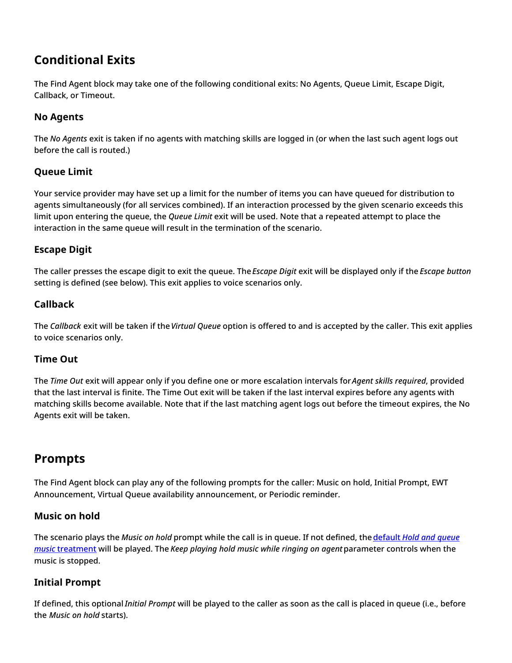### <span id="page-8-0"></span>**Conditional Exits**

The Find Agent block may take one of the following conditional exits: No Agents, Queue Limit, Escape Digit, Callback, or Timeout.

### <span id="page-8-1"></span>**No Agents**

The *No Agents* exit is taken if no agents with matching skills are logged in (or when the last such agent logs out before the call is routed.)

#### <span id="page-8-2"></span>**Queue Limit**

Your service provider may have set up a limit for the number of items you can have queued for distribution to agents simultaneously (for all services combined). If an interaction processed by the given scenario exceeds this limit upon entering the queue, the *Queue Limit* exit will be used. Note that a repeated attempt to place the interaction in the same queue will result in the termination of the scenario.

#### <span id="page-8-3"></span>**Escape Digit**

The caller presses the escape digit to exit the queue. The*Escape Digit* exit will be displayed only if the *Escape button* setting is defined (see below). This exit applies to voice scenarios only.

#### <span id="page-8-4"></span>**Callback**

The *Callback* exit will be taken if the*Virtual Queue* option is offered to and is accepted by the caller. This exit applies to voice scenarios only.

#### <span id="page-8-5"></span>**Time Out**

The *Time Out* exit will appear only if you define one or more escalation intervals for*Agent skills required*, provided that the last interval is finite. The Time Out exit will be taken if the last interval expires before any agents with matching skills become available. Note that if the last matching agent logs out before the timeout expires, the No Agents exit will be taken.

### <span id="page-8-6"></span>**Prompts**

The Find Agent block can play any of the following prompts for the caller: Music on hold, Initial Prompt, EWT Announcement, Virtual Queue availability announcement, or Periodic reminder.

#### <span id="page-8-7"></span>**Music on hold**

The scenario plays the *Music on hold* prompt while the call is in queue. If not defined, the **default** *Hold and queue music* treatment will be played. The *Keep playing hold music while ringing on agent*parameter controls when the music is stopped.

#### <span id="page-8-8"></span>**Initial Prompt**

If defined, this optional *Initial Prompt* will be played to the caller as soon as the call is placed in queue (i.e., before the *Music on hold* starts).